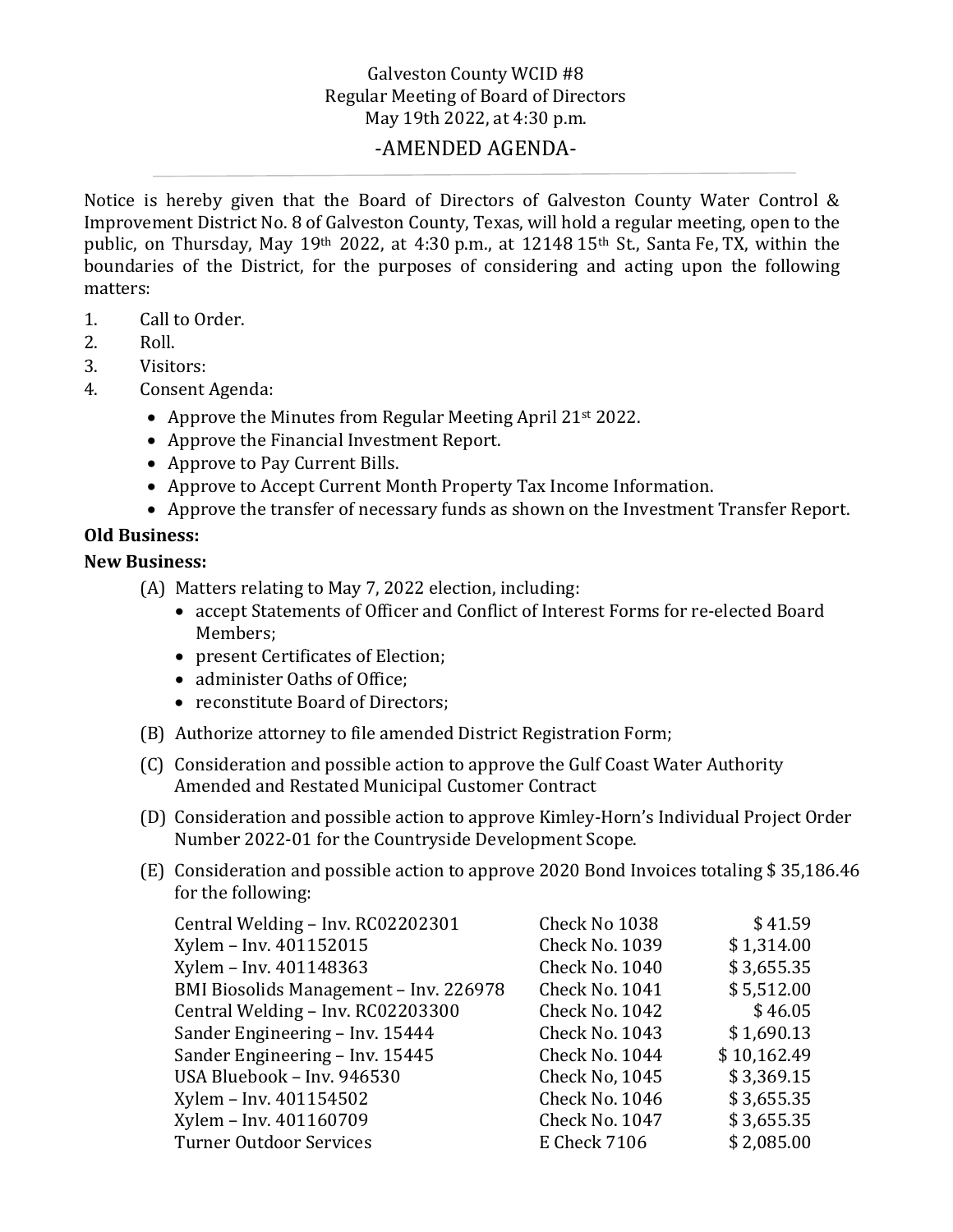## Galveston County WCID #8 Regular Meeting of Board of Directors May 19th 2022, at 4:30 p.m.

## -AMENDED AGENDA-

Notice is hereby given that the Board of Directors of Galveston County Water Control & Improvement District No. 8 of Galveston County, Texas, will hold a regular meeting, open to the public, on Thursday, May 19<sup>th</sup> 2022, at 4:30 p.m., at 12148 15<sup>th</sup> St., Santa Fe, TX, within the boundaries of the District, for the purposes of considering and acting upon the following matters:

- 1. Call to Order.<br>2. Roll.
- 2. Roll.<br>3. Visite
- 3. Visitors:<br>4. Consent
- Consent Agenda:
	- Approve the Minutes from Regular Meeting April 21<sup>st</sup> 2022.
	- Approve the Financial Investment Report.
	- Approve to Pay Current Bills.
	- Approve to Accept Current Month Property Tax Income Information.
	- Approve the transfer of necessary funds as shown on the Investment Transfer Report.

## **Old Business:**

## **New Business:**

- (A) Matters relating to May 7, 2022 election, including:
	- accept Statements of Officer and Conflict of Interest Forms for re-elected Board Members;
	- present Certificates of Election;
	- administer Oaths of Office:
	- reconstitute Board of Directors:
- (B) Authorize attorney to file amended District Registration Form;
- (C) Consideration and possible action to approve the Gulf Coast Water Authority Amended and Restated Municipal Customer Contract
- (D) Consideration and possible action to approve Kimley-Horn's Individual Project Order Number 2022-01 for the Countryside Development Scope.
- (E) Consideration and possible action to approve 2020 Bond Invoices totaling \$ 35,186.46 for the following:

| Central Welding - Inv. RC02202301      | Check No 1038         | \$41.59     |
|----------------------------------------|-----------------------|-------------|
| Xylem - Inv. 401152015                 | <b>Check No. 1039</b> | \$1,314.00  |
| Xylem - Inv. 401148363                 | <b>Check No. 1040</b> | \$3,655.35  |
| BMI Biosolids Management - Inv. 226978 | <b>Check No. 1041</b> | \$5,512.00  |
| Central Welding - Inv. RC02203300      | <b>Check No. 1042</b> | \$46.05     |
| Sander Engineering - Inv. 15444        | <b>Check No. 1043</b> | \$1,690.13  |
| Sander Engineering - Inv. 15445        | Check No. 1044        | \$10,162.49 |
| USA Bluebook - Inv. 946530             | Check No, 1045        | \$3,369.15  |
| Xylem - Inv. 401154502                 | <b>Check No. 1046</b> | \$3,655.35  |
| Xylem - Inv. 401160709                 | Check No. 1047        | \$3,655.35  |
| <b>Turner Outdoor Services</b>         | <b>E</b> Check 7106   | \$2,085.00  |
|                                        |                       |             |